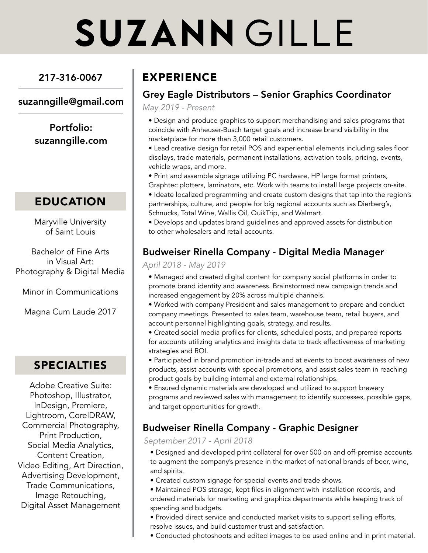# **SUZANN GILLE**

## 217-316-0067

### suzanngille@gmail.com

Portfolio: suzanngille.com

## EDUCATION

Maryville University of Saint Louis

Bachelor of Fine Arts in Visual Art: Photography & Digital Media

Minor in Communications

Magna Cum Laude 2017

## SPECIALTIES

Adobe Creative Suite: Photoshop, Illustrator, InDesign, Premiere, Lightroom, CorelDRAW, Commercial Photography, Print Production, Social Media Analytics, Content Creation, Video Editing, Art Direction, Advertising Development, Trade Communications, Image Retouching, Digital Asset Management

# EXPERIENCE

## Grey Eagle Distributors – Senior Graphics Coordinator

May 2019 - Present

• Design and produce graphics to support merchandising and sales programs that coincide with Anheuser-Busch target goals and increase brand visibility in the marketplace for more than 3,000 retail customers.

• Lead creative design for retail POS and experiential elements including sales floor displays, trade materials, permanent installations, activation tools, pricing, events, vehicle wraps, and more.

• Print and assemble signage utilizing PC hardware, HP large format printers, Graphtec plotters, laminators, etc. Work with teams to install large projects on-site.

• Ideate localized programming and create custom designs that tap into the region's partnerships, culture, and people for big regional accounts such as Dierberg's, Schnucks, Total Wine, Wallis Oil, QuikTrip, and Walmart.

• Develops and updates brand guidelines and approved assets for distribution to other wholesalers and retail accounts.

## Budweiser Rinella Company - Digital Media Manager

#### April 2018 - May 2019

• Managed and created digital content for company social platforms in order to promote brand identity and awareness. Brainstormed new campaign trends and increased engagement by 20% across multiple channels.

• Worked with company President and sales management to prepare and conduct company meetings. Presented to sales team, warehouse team, retail buyers, and account personnel highlighting goals, strategy, and results.

• Created social media profiles for clients, scheduled posts, and prepared reports for accounts utilizing analytics and insights data to track effectiveness of marketing strategies and ROI.

• Participated in brand promotion in-trade and at events to boost awareness of new products, assist accounts with special promotions, and assist sales team in reaching product goals by building internal and external relationships.

• Ensured dynamic materials are developed and utilized to support brewery programs and reviewed sales with management to identify successes, possible gaps, and target opportunities for growth.

## Budweiser Rinella Company - Graphic Designer

September 2017 - April 2018

• Designed and developed print collateral for over 500 on and off-premise accounts to augment the company's presence in the market of national brands of beer, wine, and spirits.

• Created custom signage for special events and trade shows.

• Maintained POS storage, kept files in alignment with installation records, and ordered materials for marketing and graphics departments while keeping track of spending and budgets.

• Provided direct service and conducted market visits to support selling efforts, resolve issues, and build customer trust and satisfaction.

• Conducted photoshoots and edited images to be used online and in print material.